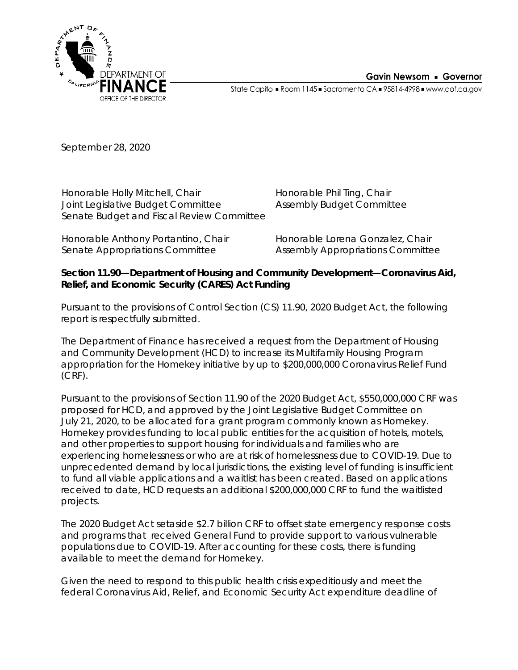



State Capitol · Room 1145 · Sacramento CA · 95814-4998 · www.dof.ca.gov

September 28, 2020

Honorable Holly Mitchell, Chair Joint Legislative Budget Committee Senate Budget and Fiscal Review Committee

Honorable Phil Ting, Chair Assembly Budget Committee

Honorable Anthony Portantino, Chair Senate Appropriations Committee

Honorable Lorena Gonzalez, Chair Assembly Appropriations Committee

## **Section 11.90—Department of Housing and Community Development—Coronavirus Aid, Relief, and Economic Security (CARES) Act Funding**

Pursuant to the provisions of Control Section (CS) 11.90, 2020 Budget Act, the following report is respectfully submitted.

The Department of Finance has received a request from the Department of Housing and Community Development (HCD) to increase its Multifamily Housing Program appropriation for the Homekey initiative by up to \$200,000,000 Coronavirus Relief Fund (CRF).

Pursuant to the provisions of Section 11.90 of the 2020 Budget Act, \$550,000,000 CRF was proposed for HCD, and approved by the Joint Legislative Budget Committee on July 21, 2020, to be allocated for a grant program commonly known as Homekey. Homekey provides funding to local public entities for the acquisition of hotels, motels, and other properties to support housing for individuals and families who are experiencing homelessness or who are at risk of homelessness due to COVID-19. Due to unprecedented demand by local jurisdictions, the existing level of funding is insufficient to fund all viable applications and a waitlist has been created. Based on applications received to date, HCD requests an additional \$200,000,000 CRF to fund the waitlisted projects.

The 2020 Budget Act setaside \$2.7 billion CRF to offset state emergency response costs and programs that received General Fund to provide support to various vulnerable populations due to COVID-19. After accounting for these costs, there is funding available to meet the demand for Homekey.

Given the need to respond to this public health crisis expeditiously and meet the federal Coronavirus Aid, Relief, and Economic Security Act expenditure deadline of